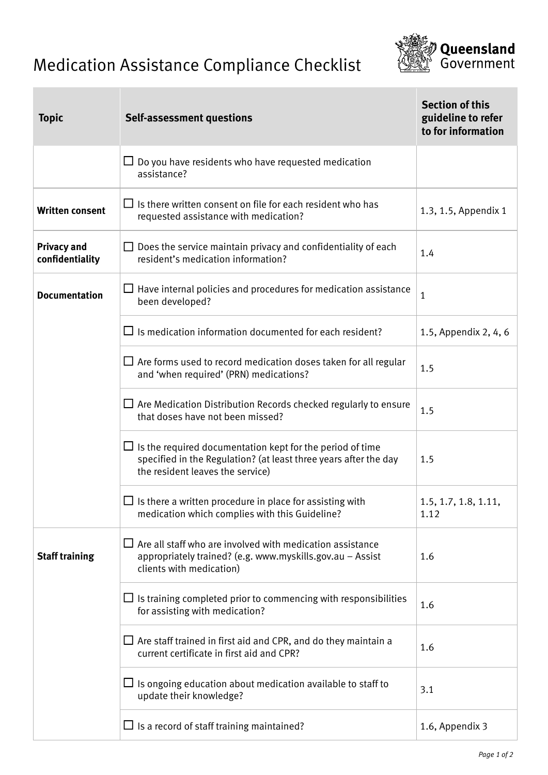## Medication Assistance Compliance Checklist



| <b>Topic</b>                          | <b>Self-assessment questions</b>                                                                                                                                         | <b>Section of this</b><br>guideline to refer<br>to for information |
|---------------------------------------|--------------------------------------------------------------------------------------------------------------------------------------------------------------------------|--------------------------------------------------------------------|
|                                       | $\Box$ Do you have residents who have requested medication<br>assistance?                                                                                                |                                                                    |
| <b>Written consent</b>                | $\Box$ Is there written consent on file for each resident who has<br>requested assistance with medication?                                                               | 1.3, 1.5, Appendix 1                                               |
| <b>Privacy and</b><br>confidentiality | $\Box$ Does the service maintain privacy and confidentiality of each<br>resident's medication information?                                                               | 1.4                                                                |
| <b>Documentation</b>                  | $\Box$ Have internal policies and procedures for medication assistance<br>been developed?                                                                                | 1                                                                  |
|                                       | $\Box$ Is medication information documented for each resident?                                                                                                           | 1.5, Appendix 2, 4, 6                                              |
|                                       | $\Box$ Are forms used to record medication doses taken for all regular<br>and 'when required' (PRN) medications?                                                         | 1.5                                                                |
|                                       | $\Box$ Are Medication Distribution Records checked regularly to ensure<br>that doses have not been missed?                                                               | 1.5                                                                |
|                                       | $\Box$ Is the required documentation kept for the period of time<br>specified in the Regulation? (at least three years after the day<br>the resident leaves the service) | 1.5                                                                |
|                                       | $\Box$ Is there a written procedure in place for assisting with<br>medication which complies with this Guideline?                                                        | 1.5, 1.7, 1.8, 1.11,<br>1.12                                       |
| <b>Staff training</b>                 | $\Box$ Are all staff who are involved with medication assistance<br>appropriately trained? (e.g. www.myskills.gov.au - Assist<br>clients with medication)                | 1.6                                                                |
|                                       | $\Box$ Is training completed prior to commencing with responsibilities<br>for assisting with medication?                                                                 | 1.6                                                                |
|                                       | $\Box$ Are staff trained in first aid and CPR, and do they maintain a<br>current certificate in first aid and CPR?                                                       | 1.6                                                                |
|                                       | $\Box$ Is ongoing education about medication available to staff to<br>update their knowledge?                                                                            | 3.1                                                                |
|                                       | $\Box$ Is a record of staff training maintained?                                                                                                                         | 1.6, Appendix 3                                                    |